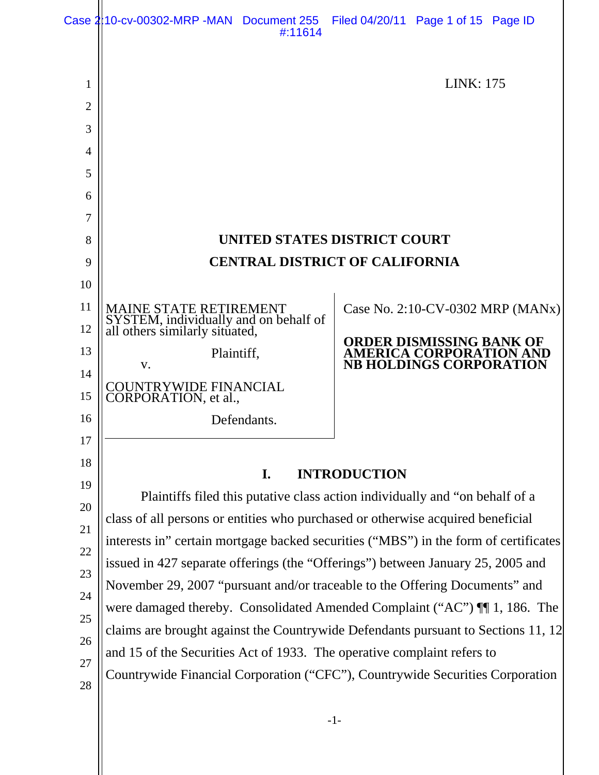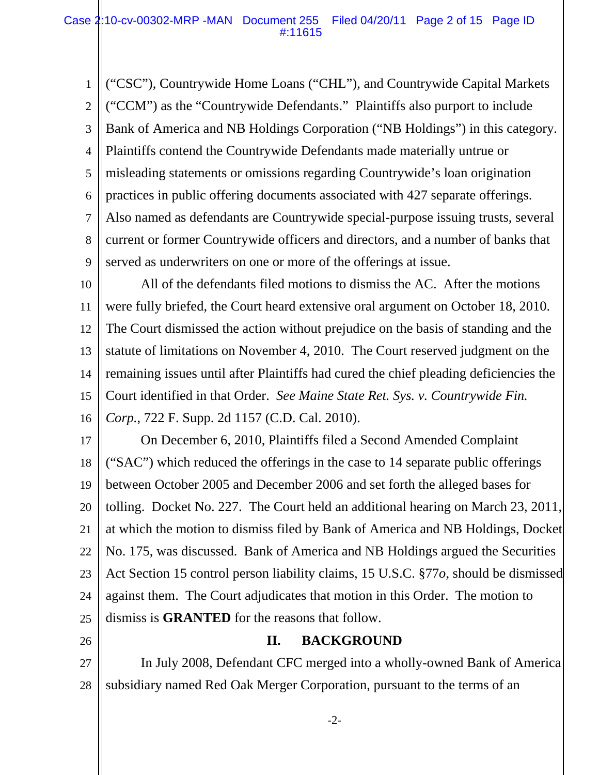1 2 3 4 5 6 7 8 9 ("CSC"), Countrywide Home Loans ("CHL"), and Countrywide Capital Markets ("CCM") as the "Countrywide Defendants." Plaintiffs also purport to include Bank of America and NB Holdings Corporation ("NB Holdings") in this category. Plaintiffs contend the Countrywide Defendants made materially untrue or misleading statements or omissions regarding Countrywide's loan origination practices in public offering documents associated with 427 separate offerings. Also named as defendants are Countrywide special-purpose issuing trusts, several current or former Countrywide officers and directors, and a number of banks that served as underwriters on one or more of the offerings at issue.

10 11 12 13 14 15 16 All of the defendants filed motions to dismiss the AC. After the motions were fully briefed, the Court heard extensive oral argument on October 18, 2010. The Court dismissed the action without prejudice on the basis of standing and the statute of limitations on November 4, 2010. The Court reserved judgment on the remaining issues until after Plaintiffs had cured the chief pleading deficiencies the Court identified in that Order. *See Maine State Ret. Sys. v. Countrywide Fin. Corp.*, 722 F. Supp. 2d 1157 (C.D. Cal. 2010).

17 18 19 20 21 22 23 24 25 On December 6, 2010, Plaintiffs filed a Second Amended Complaint ("SAC") which reduced the offerings in the case to 14 separate public offerings between October 2005 and December 2006 and set forth the alleged bases for tolling. Docket No. 227. The Court held an additional hearing on March 23, 2011, at which the motion to dismiss filed by Bank of America and NB Holdings, Docket No. 175, was discussed. Bank of America and NB Holdings argued the Securities Act Section 15 control person liability claims, 15 U.S.C. §77*o*, should be dismissed against them. The Court adjudicates that motion in this Order. The motion to dismiss is **GRANTED** for the reasons that follow.

26

# **II. BACKGROUND**

27 28 In July 2008, Defendant CFC merged into a wholly-owned Bank of America subsidiary named Red Oak Merger Corporation, pursuant to the terms of an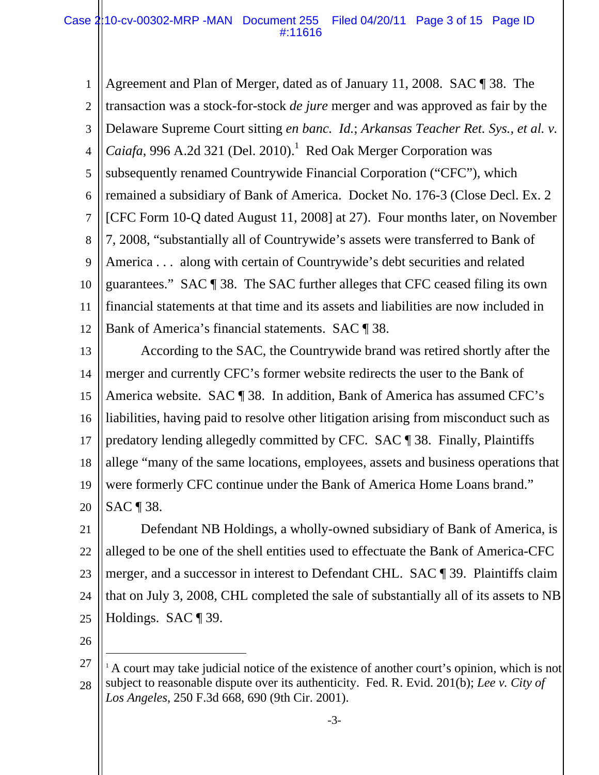1 2 3 4 5 6 7 8 9 10 11 12 Agreement and Plan of Merger, dated as of January 11, 2008. SAC ¶ 38. The transaction was a stock-for-stock *de jure* merger and was approved as fair by the Delaware Supreme Court sitting *en banc. Id.*; *Arkansas Teacher Ret. Sys., et al. v. Caiafa*, 996 A.2d 321 (Del. 2010).<sup>1</sup> Red Oak Merger Corporation was subsequently renamed Countrywide Financial Corporation ("CFC"), which remained a subsidiary of Bank of America. Docket No. 176-3 (Close Decl. Ex. 2 [CFC Form 10-Q dated August 11, 2008] at 27). Four months later, on November 7, 2008, "substantially all of Countrywide's assets were transferred to Bank of America . . . along with certain of Countrywide's debt securities and related guarantees." SAC ¶ 38. The SAC further alleges that CFC ceased filing its own financial statements at that time and its assets and liabilities are now included in Bank of America's financial statements. SAC ¶ 38.

13 14 15 16 17 18 19 20 According to the SAC, the Countrywide brand was retired shortly after the merger and currently CFC's former website redirects the user to the Bank of America website. SAC ¶ 38. In addition, Bank of America has assumed CFC's liabilities, having paid to resolve other litigation arising from misconduct such as predatory lending allegedly committed by CFC. SAC ¶ 38. Finally, Plaintiffs allege "many of the same locations, employees, assets and business operations that were formerly CFC continue under the Bank of America Home Loans brand." SAC ¶ 38.

21 22 23 24 25 Defendant NB Holdings, a wholly-owned subsidiary of Bank of America, is alleged to be one of the shell entities used to effectuate the Bank of America-CFC merger, and a successor in interest to Defendant CHL. SAC ¶ 39. Plaintiffs claim that on July 3, 2008, CHL completed the sale of substantially all of its assets to NB Holdings. SAC ¶ 39.

26

 $\overline{a}$ 

<sup>27</sup> 28  $1$  A court may take judicial notice of the existence of another court's opinion, which is not subject to reasonable dispute over its authenticity. Fed. R. Evid. 201(b); *Lee v. City of Los Angeles*, 250 F.3d 668, 690 (9th Cir. 2001).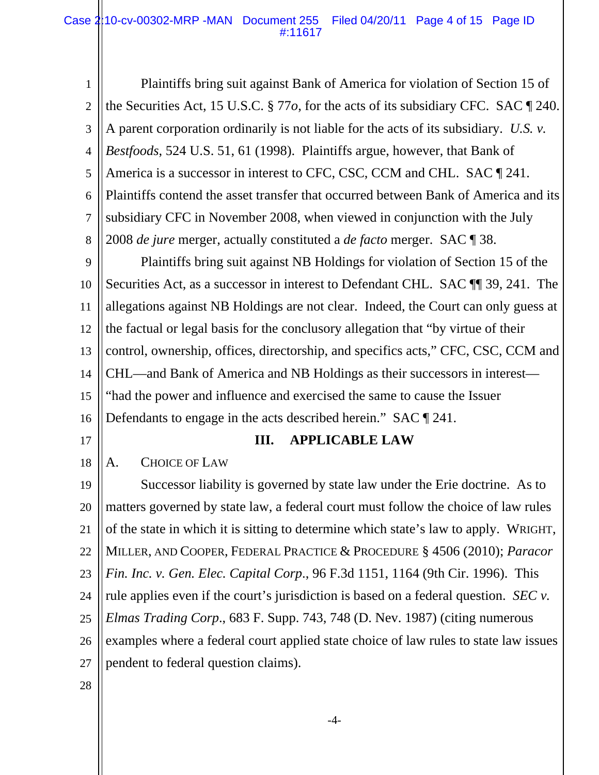1 2 3 4 5 6 7 8 Plaintiffs bring suit against Bank of America for violation of Section 15 of the Securities Act, 15 U.S.C. § 77*o*, for the acts of its subsidiary CFC. SAC ¶ 240. A parent corporation ordinarily is not liable for the acts of its subsidiary. *U.S. v. Bestfoods*, 524 U.S. 51, 61 (1998). Plaintiffs argue, however, that Bank of America is a successor in interest to CFC, CSC, CCM and CHL. SAC  $\P$  241. Plaintiffs contend the asset transfer that occurred between Bank of America and its subsidiary CFC in November 2008, when viewed in conjunction with the July 2008 *de jure* merger, actually constituted a *de facto* merger. SAC ¶ 38.

9 10 11 12 13 14 15 16 Plaintiffs bring suit against NB Holdings for violation of Section 15 of the Securities Act, as a successor in interest to Defendant CHL. SAC ¶¶ 39, 241. The allegations against NB Holdings are not clear. Indeed, the Court can only guess at the factual or legal basis for the conclusory allegation that "by virtue of their control, ownership, offices, directorship, and specifics acts," CFC, CSC, CCM and CHL—and Bank of America and NB Holdings as their successors in interest— "had the power and influence and exercised the same to cause the Issuer Defendants to engage in the acts described herein." SAC [941.]

17

### **III. APPLICABLE LAW**

18 A. CHOICE OF LAW

19 20 21 22 23 24 25 26 27 Successor liability is governed by state law under the Erie doctrine. As to matters governed by state law, a federal court must follow the choice of law rules of the state in which it is sitting to determine which state's law to apply. WRIGHT, MILLER, AND COOPER, FEDERAL PRACTICE & PROCEDURE § 4506 (2010); *Paracor Fin. Inc. v. Gen. Elec. Capital Corp*., 96 F.3d 1151, 1164 (9th Cir. 1996). This rule applies even if the court's jurisdiction is based on a federal question. *SEC v. Elmas Trading Corp*., 683 F. Supp. 743, 748 (D. Nev. 1987) (citing numerous examples where a federal court applied state choice of law rules to state law issues pendent to federal question claims).

28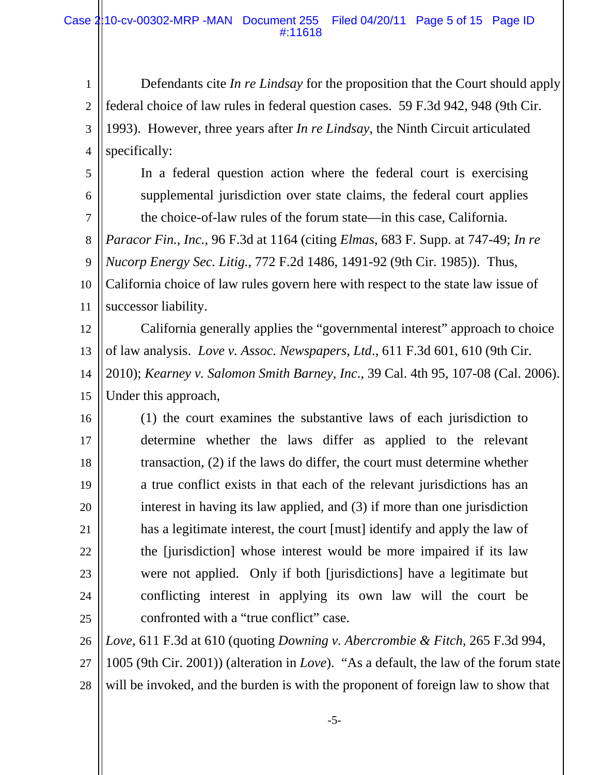1 2 3 4 Defendants cite *In re Lindsay* for the proposition that the Court should apply federal choice of law rules in federal question cases. 59 F.3d 942, 948 (9th Cir. 1993). However, three years after *In re Lindsay*, the Ninth Circuit articulated specifically:

5 6

7

In a federal question action where the federal court is exercising supplemental jurisdiction over state claims, the federal court applies the choice-of-law rules of the forum state—in this case, California.

8 *Paracor Fin., Inc.*, 96 F.3d at 1164 (citing *Elmas*, 683 F. Supp. at 747-49; *In re* 

9 *Nucorp Energy Sec. Litig.*, 772 F.2d 1486, 1491-92 (9th Cir. 1985)). Thus,

10 11 California choice of law rules govern here with respect to the state law issue of successor liability.

12 13 California generally applies the "governmental interest" approach to choice of law analysis. *Love v. Assoc. Newspapers, Ltd*., 611 F.3d 601, 610 (9th Cir.

14 15 2010); *Kearney v. Salomon Smith Barney, Inc*., 39 Cal. 4th 95, 107-08 (Cal. 2006). Under this approach,

16 17 18 19 20 21 22 23 24 25 (1) the court examines the substantive laws of each jurisdiction to determine whether the laws differ as applied to the relevant transaction, (2) if the laws do differ, the court must determine whether a true conflict exists in that each of the relevant jurisdictions has an interest in having its law applied, and (3) if more than one jurisdiction has a legitimate interest, the court [must] identify and apply the law of the [jurisdiction] whose interest would be more impaired if its law were not applied. Only if both [jurisdictions] have a legitimate but conflicting interest in applying its own law will the court be confronted with a "true conflict" case.

26 *Love*, 611 F.3d at 610 (quoting *Downing v. Abercrombie & Fitch*, 265 F.3d 994,

27 28 1005 (9th Cir. 2001)) (alteration in *Love*). "As a default, the law of the forum state will be invoked, and the burden is with the proponent of foreign law to show that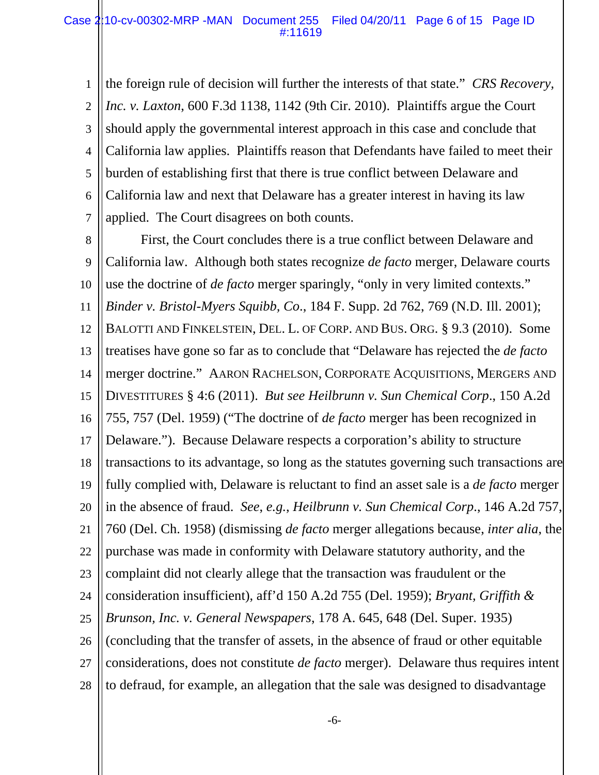1 2 3 4 5 6 7 the foreign rule of decision will further the interests of that state." *CRS Recovery, Inc. v. Laxton*, 600 F.3d 1138, 1142 (9th Cir. 2010). Plaintiffs argue the Court should apply the governmental interest approach in this case and conclude that California law applies. Plaintiffs reason that Defendants have failed to meet their burden of establishing first that there is true conflict between Delaware and California law and next that Delaware has a greater interest in having its law applied. The Court disagrees on both counts.

8 9 10 11 12 13 14 15 16 17 18 19 20 21 22 23 24 25 26 27 28 First, the Court concludes there is a true conflict between Delaware and California law. Although both states recognize *de facto* merger, Delaware courts use the doctrine of *de facto* merger sparingly, "only in very limited contexts." *Binder v. Bristol-Myers Squibb, Co*., 184 F. Supp. 2d 762, 769 (N.D. Ill. 2001); BALOTTI AND FINKELSTEIN, DEL. L. OF CORP. AND BUS. ORG. § 9.3 (2010). Some treatises have gone so far as to conclude that "Delaware has rejected the *de facto* merger doctrine." AARON RACHELSON, CORPORATE ACQUISITIONS, MERGERS AND DIVESTITURES § 4:6 (2011). *But see Heilbrunn v. Sun Chemical Corp*., 150 A.2d 755, 757 (Del. 1959) ("The doctrine of *de facto* merger has been recognized in Delaware."). Because Delaware respects a corporation's ability to structure transactions to its advantage, so long as the statutes governing such transactions are fully complied with, Delaware is reluctant to find an asset sale is a *de facto* merger in the absence of fraud. *See*, *e.g.*, *Heilbrunn v. Sun Chemical Corp*., 146 A.2d 757, 760 (Del. Ch. 1958) (dismissing *de facto* merger allegations because, *inter alia*, the purchase was made in conformity with Delaware statutory authority, and the complaint did not clearly allege that the transaction was fraudulent or the consideration insufficient), aff'd 150 A.2d 755 (Del. 1959); *Bryant, Griffith & Brunson, Inc. v. General Newspapers*, 178 A. 645, 648 (Del. Super. 1935) (concluding that the transfer of assets, in the absence of fraud or other equitable considerations, does not constitute *de facto* merger). Delaware thus requires intent to defraud, for example, an allegation that the sale was designed to disadvantage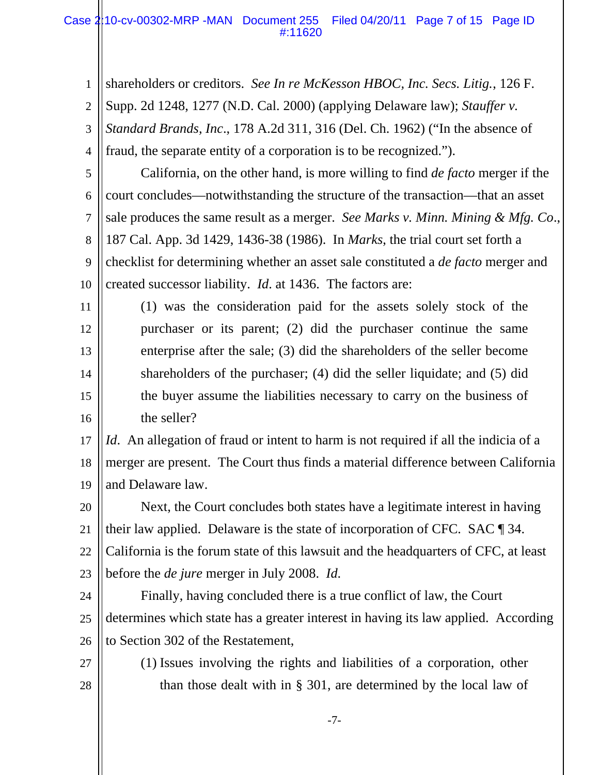#### Case 2:10-cv-00302-MRP -MAN Document 255 Filed 04/20/11 Page 7 of 15 Page ID #:11620

| $\mathbf{1}$   | shareholders or creditors. See In re McKesson HBOC, Inc. Secs. Litig., 126 F.               |
|----------------|---------------------------------------------------------------------------------------------|
| $\overline{2}$ | Supp. 2d 1248, 1277 (N.D. Cal. 2000) (applying Delaware law); Stauffer v.                   |
| 3              | Standard Brands, Inc., 178 A.2d 311, 316 (Del. Ch. 1962) ("In the absence of                |
| 4              | fraud, the separate entity of a corporation is to be recognized.").                         |
| 5              | California, on the other hand, is more willing to find <i>de facto</i> merger if the        |
| 6              | court concludes—notwithstanding the structure of the transaction—that an asset              |
| 7              | sale produces the same result as a merger. See Marks v. Minn. Mining & Mfg. Co.,            |
| 8              | 187 Cal. App. 3d 1429, 1436-38 (1986). In <i>Marks</i> , the trial court set forth a        |
| 9              | checklist for determining whether an asset sale constituted a <i>de facto</i> merger and    |
| 10             | created successor liability. <i>Id.</i> at 1436. The factors are:                           |
| 11             | (1) was the consideration paid for the assets solely stock of the                           |
| 12             | purchaser or its parent; (2) did the purchaser continue the same                            |
| 13             | enterprise after the sale; (3) did the shareholders of the seller become                    |
| 14             | shareholders of the purchaser; (4) did the seller liquidate; and (5) did                    |
| 15             | the buyer assume the liabilities necessary to carry on the business of                      |
| 16             | the seller?                                                                                 |
| 17             | <i>Id.</i> An allegation of fraud or intent to harm is not required if all the indicia of a |
| 18             | merger are present. The Court thus finds a material difference between California           |
| 19             | and Delaware law.                                                                           |
| 20             | Next, the Court concludes both states have a legitimate interest in having                  |
| 21             | their law applied. Delaware is the state of incorporation of CFC. SAC $\P$ 34.              |
| 22             | California is the forum state of this lawsuit and the headquarters of CFC, at least         |
| 23             | before the <i>de jure</i> merger in July 2008. Id.                                          |
| 24             | Finally, having concluded there is a true conflict of law, the Court                        |
| 25             | determines which state has a greater interest in having its law applied. According          |
| 26             | to Section 302 of the Restatement,                                                          |
| 27             | (1) Issues involving the rights and liabilities of a corporation, other                     |
| 28             | than those dealt with in $\S$ 301, are determined by the local law of                       |
|                |                                                                                             |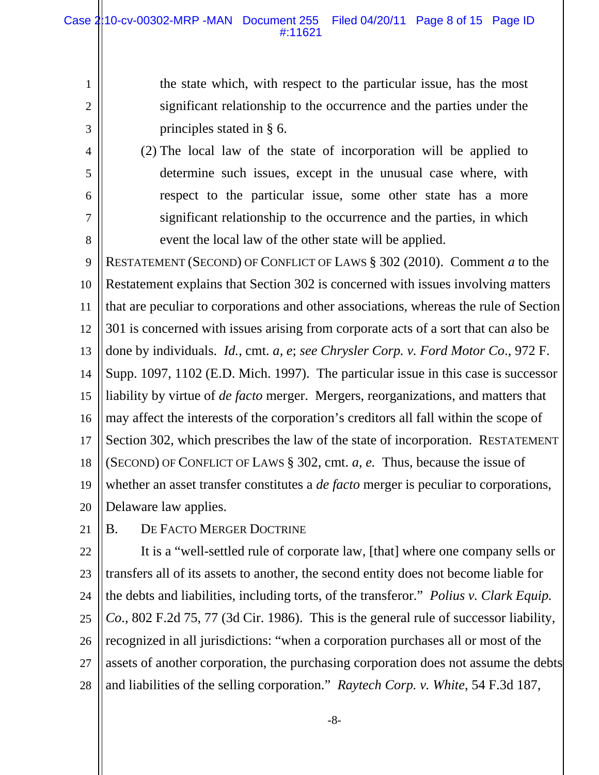the state which, with respect to the particular issue, has the most significant relationship to the occurrence and the parties under the principles stated in § 6.

(2) The local law of the state of incorporation will be applied to determine such issues, except in the unusual case where, with respect to the particular issue, some other state has a more significant relationship to the occurrence and the parties, in which event the local law of the other state will be applied.

9 10 11 12 13 14 15 16 17 18 19 20 RESTATEMENT (SECOND) OF CONFLICT OF LAWS § 302 (2010). Comment *a* to the Restatement explains that Section 302 is concerned with issues involving matters that are peculiar to corporations and other associations, whereas the rule of Section 301 is concerned with issues arising from corporate acts of a sort that can also be done by individuals. *Id.*, cmt. *a, e*; *see Chrysler Corp. v. Ford Motor Co*., 972 F. Supp. 1097, 1102 (E.D. Mich. 1997). The particular issue in this case is successor liability by virtue of *de facto* merger. Mergers, reorganizations, and matters that may affect the interests of the corporation's creditors all fall within the scope of Section 302, which prescribes the law of the state of incorporation. RESTATEMENT (SECOND) OF CONFLICT OF LAWS § 302, cmt. *a*, *e.* Thus, because the issue of whether an asset transfer constitutes a *de facto* merger is peculiar to corporations, Delaware law applies.

21 B. DE FACTO MERGER DOCTRINE

1

2

3

4

5

6

7

8

22 23 24 25 26 27 28 It is a "well-settled rule of corporate law, [that] where one company sells or transfers all of its assets to another, the second entity does not become liable for the debts and liabilities, including torts, of the transferor." *Polius v. Clark Equip. Co*., 802 F.2d 75, 77 (3d Cir. 1986). This is the general rule of successor liability, recognized in all jurisdictions: "when a corporation purchases all or most of the assets of another corporation, the purchasing corporation does not assume the debts and liabilities of the selling corporation." *Raytech Corp. v. White*, 54 F.3d 187,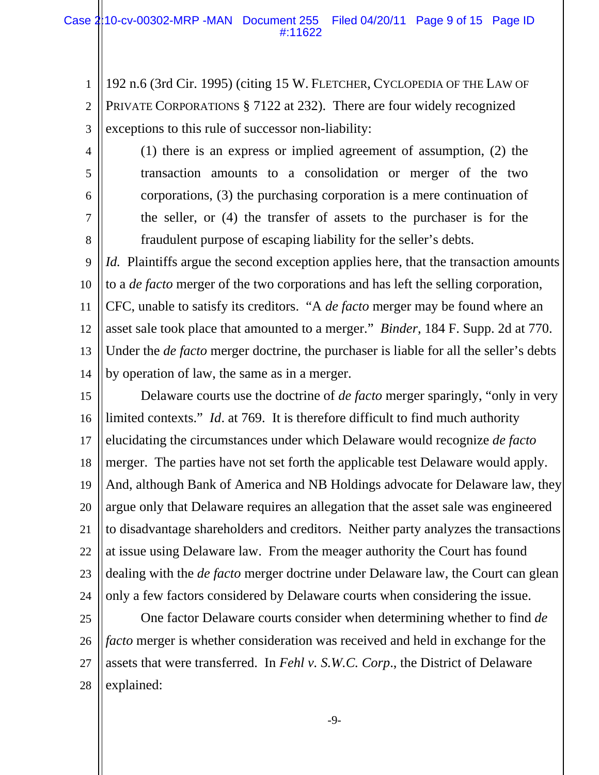1 2 3 192 n.6 (3rd Cir. 1995) (citing 15 W. FLETCHER, CYCLOPEDIA OF THE LAW OF PRIVATE CORPORATIONS § 7122 at 232). There are four widely recognized exceptions to this rule of successor non-liability:

5

6

7

8

4

(1) there is an express or implied agreement of assumption, (2) the transaction amounts to a consolidation or merger of the two corporations, (3) the purchasing corporation is a mere continuation of the seller, or (4) the transfer of assets to the purchaser is for the fraudulent purpose of escaping liability for the seller's debts.

9 10 11 12 13 14 *Id.* Plaintiffs argue the second exception applies here, that the transaction amounts to a *de facto* merger of the two corporations and has left the selling corporation, CFC, unable to satisfy its creditors. "A *de facto* merger may be found where an asset sale took place that amounted to a merger." *Binder*, 184 F. Supp. 2d at 770. Under the *de facto* merger doctrine, the purchaser is liable for all the seller's debts by operation of law, the same as in a merger.

15 16 17 18 19 20 21 22 23 24 Delaware courts use the doctrine of *de facto* merger sparingly, "only in very limited contexts." *Id*. at 769. It is therefore difficult to find much authority elucidating the circumstances under which Delaware would recognize *de facto* merger. The parties have not set forth the applicable test Delaware would apply. And, although Bank of America and NB Holdings advocate for Delaware law, they argue only that Delaware requires an allegation that the asset sale was engineered to disadvantage shareholders and creditors. Neither party analyzes the transactions at issue using Delaware law. From the meager authority the Court has found dealing with the *de facto* merger doctrine under Delaware law, the Court can glean only a few factors considered by Delaware courts when considering the issue.

25 26 27 28 One factor Delaware courts consider when determining whether to find *de facto* merger is whether consideration was received and held in exchange for the assets that were transferred. In *Fehl v. S.W.C. Corp*., the District of Delaware explained: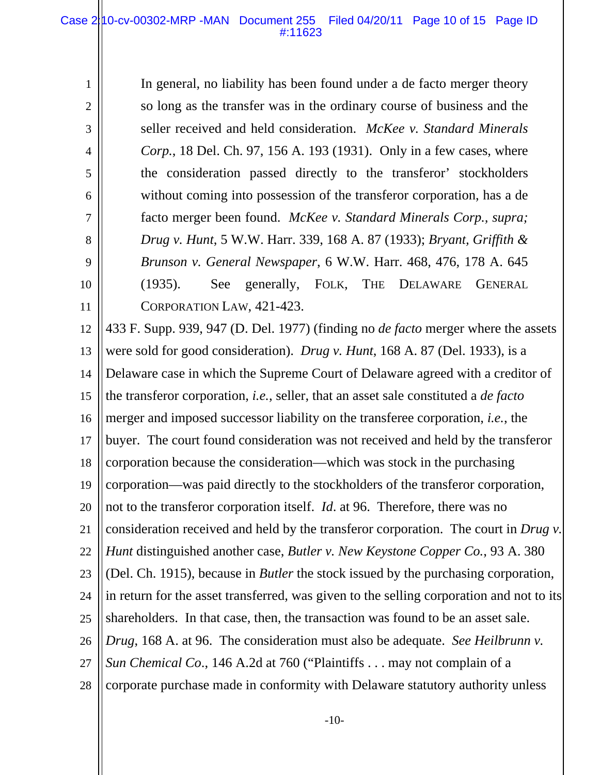1

2

3

4

5

6

7

8

9

10

11

In general, no liability has been found under a de facto merger theory so long as the transfer was in the ordinary course of business and the seller received and held consideration. *McKee v. Standard Minerals Corp.*, 18 Del. Ch. 97, 156 A. 193 (1931). Only in a few cases, where the consideration passed directly to the transferor' stockholders without coming into possession of the transferor corporation, has a de facto merger been found. *McKee v. Standard Minerals Corp., supra; Drug v. Hunt*, 5 W.W. Harr. 339, 168 A. 87 (1933); *Bryant, Griffith & Brunson v. General Newspaper*, 6 W.W. Harr. 468, 476, 178 A. 645 (1935). See generally, FOLK, THE DELAWARE GENERAL CORPORATION LAW, 421-423.

12 13 14 15 16 17 18 19 20 21 22 23 24 25 26 27 28 433 F. Supp. 939, 947 (D. Del. 1977) (finding no *de facto* merger where the assets were sold for good consideration). *Drug v. Hunt*, 168 A. 87 (Del. 1933), is a Delaware case in which the Supreme Court of Delaware agreed with a creditor of the transferor corporation, *i.e.*, seller, that an asset sale constituted a *de facto* merger and imposed successor liability on the transferee corporation, *i.e.*, the buyer. The court found consideration was not received and held by the transferor corporation because the consideration—which was stock in the purchasing corporation—was paid directly to the stockholders of the transferor corporation, not to the transferor corporation itself. *Id*. at 96. Therefore, there was no consideration received and held by the transferor corporation. The court in *Drug v. Hunt* distinguished another case, *Butler v. New Keystone Copper Co.*, 93 A. 380 (Del. Ch. 1915), because in *Butler* the stock issued by the purchasing corporation, in return for the asset transferred, was given to the selling corporation and not to its shareholders. In that case, then, the transaction was found to be an asset sale. *Drug*, 168 A. at 96. The consideration must also be adequate. *See Heilbrunn v. Sun Chemical Co*., 146 A.2d at 760 ("Plaintiffs . . . may not complain of a corporate purchase made in conformity with Delaware statutory authority unless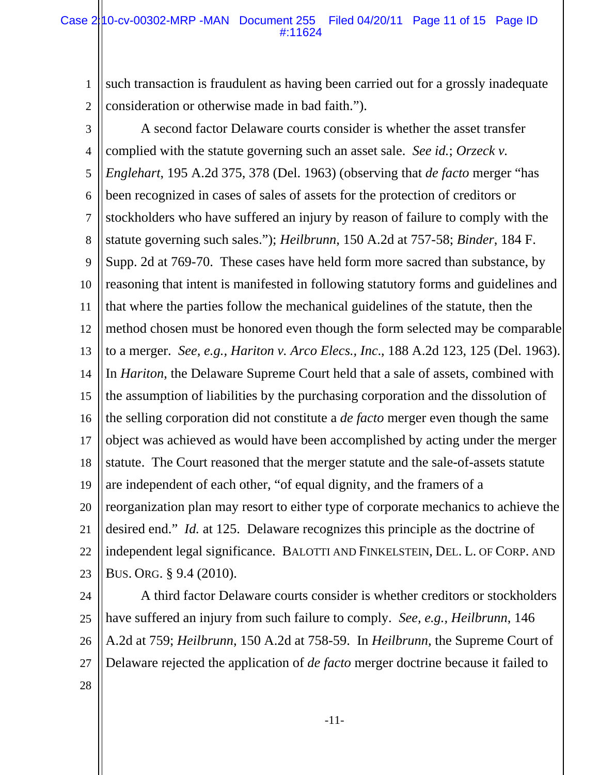1 2 such transaction is fraudulent as having been carried out for a grossly inadequate consideration or otherwise made in bad faith.").

3 4 5 6 7 8 9 10 11 12 13 14 15 16 17 18 19 20 21 22 23 A second factor Delaware courts consider is whether the asset transfer complied with the statute governing such an asset sale. *See id.*; *Orzeck v. Englehart*, 195 A.2d 375, 378 (Del. 1963) (observing that *de facto* merger "has been recognized in cases of sales of assets for the protection of creditors or stockholders who have suffered an injury by reason of failure to comply with the statute governing such sales."); *Heilbrunn*, 150 A.2d at 757-58; *Binder*, 184 F. Supp. 2d at 769-70. These cases have held form more sacred than substance, by reasoning that intent is manifested in following statutory forms and guidelines and that where the parties follow the mechanical guidelines of the statute, then the method chosen must be honored even though the form selected may be comparable to a merger. *See, e.g., Hariton v. Arco Elecs., Inc*., 188 A.2d 123, 125 (Del. 1963). In *Hariton*, the Delaware Supreme Court held that a sale of assets, combined with the assumption of liabilities by the purchasing corporation and the dissolution of the selling corporation did not constitute a *de facto* merger even though the same object was achieved as would have been accomplished by acting under the merger statute. The Court reasoned that the merger statute and the sale-of-assets statute are independent of each other, "of equal dignity, and the framers of a reorganization plan may resort to either type of corporate mechanics to achieve the desired end." *Id.* at 125. Delaware recognizes this principle as the doctrine of independent legal significance. BALOTTI AND FINKELSTEIN, DEL. L. OF CORP. AND BUS. ORG. § 9.4 (2010).

24 25 26 27 A third factor Delaware courts consider is whether creditors or stockholders have suffered an injury from such failure to comply. *See, e.g., Heilbrunn*, 146 A.2d at 759; *Heilbrunn*, 150 A.2d at 758-59. In *Heilbrunn*, the Supreme Court of Delaware rejected the application of *de facto* merger doctrine because it failed to

28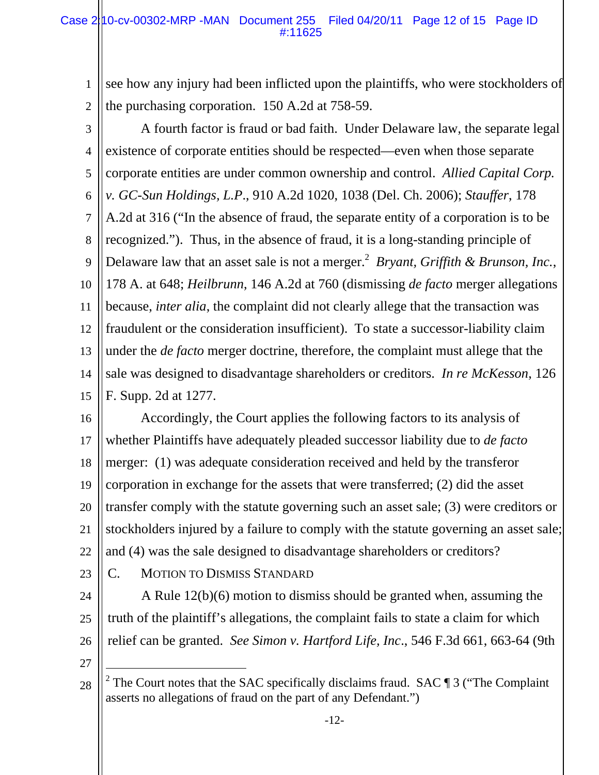1 2 see how any injury had been inflicted upon the plaintiffs, who were stockholders of the purchasing corporation. 150 A.2d at 758-59.

- 3 4 5 6 7 8 9 10 11 12 13 14 15 A fourth factor is fraud or bad faith. Under Delaware law, the separate legal existence of corporate entities should be respected—even when those separate corporate entities are under common ownership and control. *Allied Capital Corp. v. GC-Sun Holdings, L.P*., 910 A.2d 1020, 1038 (Del. Ch. 2006); *Stauffer*, 178 A.2d at 316 ("In the absence of fraud, the separate entity of a corporation is to be recognized."). Thus, in the absence of fraud, it is a long-standing principle of Delaware law that an asset sale is not a merger.<sup>2</sup> Bryant, Griffith & Brunson, Inc., 178 A. at 648; *Heilbrunn*, 146 A.2d at 760 (dismissing *de facto* merger allegations because, *inter alia*, the complaint did not clearly allege that the transaction was fraudulent or the consideration insufficient). To state a successor-liability claim under the *de facto* merger doctrine, therefore, the complaint must allege that the sale was designed to disadvantage shareholders or creditors. *In re McKesson*, 126 F. Supp. 2d at 1277.
- 16 17 18 19 20 21 22 Accordingly, the Court applies the following factors to its analysis of whether Plaintiffs have adequately pleaded successor liability due to *de facto* merger: (1) was adequate consideration received and held by the transferor corporation in exchange for the assets that were transferred; (2) did the asset transfer comply with the statute governing such an asset sale; (3) were creditors or stockholders injured by a failure to comply with the statute governing an asset sale; and (4) was the sale designed to disadvantage shareholders or creditors?
- 23
- C. MOTION TO DISMISS STANDARD
- 24 25 26 A Rule 12(b)(6) motion to dismiss should be granted when, assuming the truth of the plaintiff's allegations, the complaint fails to state a claim for which relief can be granted. *See Simon v. Hartford Life, Inc*., 546 F.3d 661, 663-64 (9th
- 27

 $\overline{a}$ 

<sup>28</sup> <sup>2</sup> The Court notes that the SAC specifically disclaims fraud. SAC  $\P$  3 ("The Complaint" asserts no allegations of fraud on the part of any Defendant.")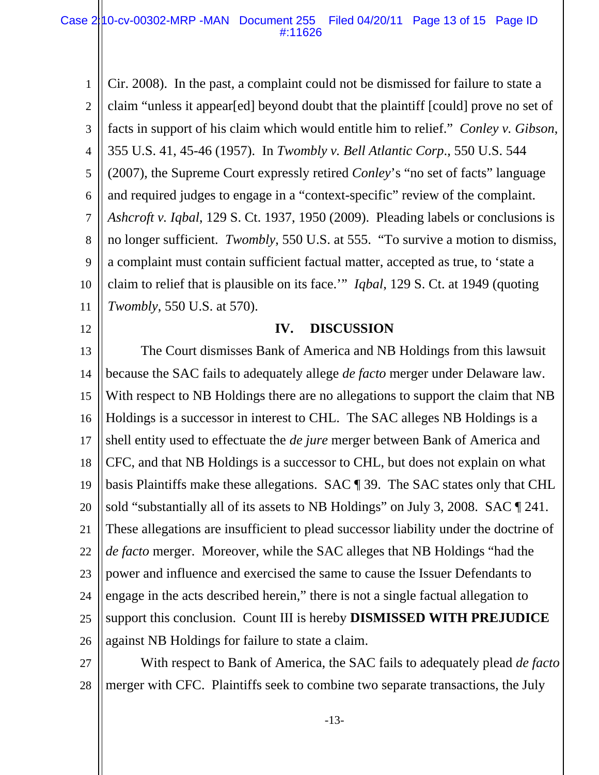1 2 3 4 5 6 7 8 9 10 11 Cir. 2008). In the past, a complaint could not be dismissed for failure to state a claim "unless it appear[ed] beyond doubt that the plaintiff [could] prove no set of facts in support of his claim which would entitle him to relief." *Conley v. Gibson*, 355 U.S. 41, 45-46 (1957). In *Twombly v. Bell Atlantic Corp*., 550 U.S. 544 (2007), the Supreme Court expressly retired *Conley*'s "no set of facts" language and required judges to engage in a "context-specific" review of the complaint. *Ashcroft v. Iqbal*, 129 S. Ct. 1937, 1950 (2009). Pleading labels or conclusions is no longer sufficient. *Twombly*, 550 U.S. at 555. "To survive a motion to dismiss, a complaint must contain sufficient factual matter, accepted as true, to 'state a claim to relief that is plausible on its face.'" *Iqbal*, 129 S. Ct. at 1949 (quoting *Twombly*, 550 U.S. at 570).

12

#### **IV. DISCUSSION**

13 14 15 16 17 18 19 20 21 22 23 24 25 26 The Court dismisses Bank of America and NB Holdings from this lawsuit because the SAC fails to adequately allege *de facto* merger under Delaware law. With respect to NB Holdings there are no allegations to support the claim that NB Holdings is a successor in interest to CHL. The SAC alleges NB Holdings is a shell entity used to effectuate the *de jure* merger between Bank of America and CFC, and that NB Holdings is a successor to CHL, but does not explain on what basis Plaintiffs make these allegations. SAC ¶ 39. The SAC states only that CHL sold "substantially all of its assets to NB Holdings" on July 3, 2008. SAC  $\P$  241. These allegations are insufficient to plead successor liability under the doctrine of *de facto* merger. Moreover, while the SAC alleges that NB Holdings "had the power and influence and exercised the same to cause the Issuer Defendants to engage in the acts described herein," there is not a single factual allegation to support this conclusion. Count III is hereby **DISMISSED WITH PREJUDICE** against NB Holdings for failure to state a claim.

27 28 With respect to Bank of America, the SAC fails to adequately plead *de facto* merger with CFC. Plaintiffs seek to combine two separate transactions, the July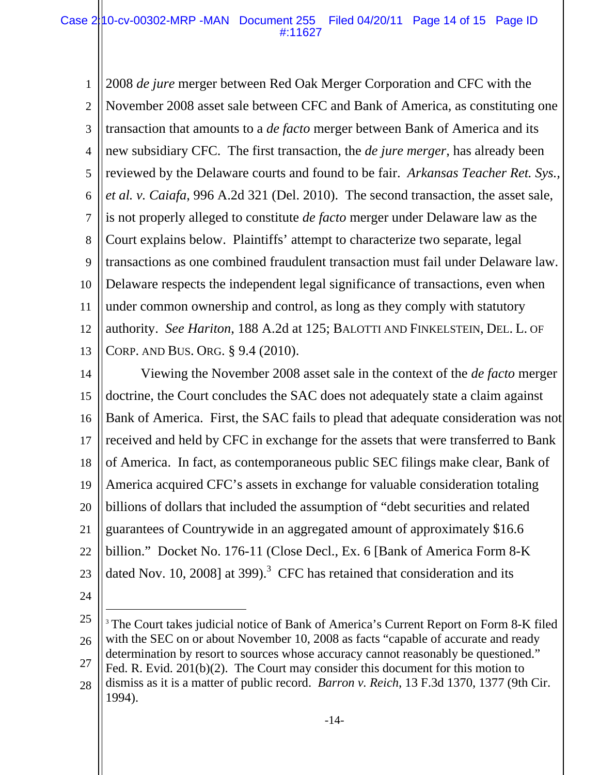1 2 3 4 5 6 7 8 9 10 11 12 13 2008 *de jure* merger between Red Oak Merger Corporation and CFC with the November 2008 asset sale between CFC and Bank of America, as constituting one transaction that amounts to a *de facto* merger between Bank of America and its new subsidiary CFC. The first transaction, the *de jure merger*, has already been reviewed by the Delaware courts and found to be fair. *Arkansas Teacher Ret. Sys., et al. v. Caiafa*, 996 A.2d 321 (Del. 2010). The second transaction, the asset sale, is not properly alleged to constitute *de facto* merger under Delaware law as the Court explains below. Plaintiffs' attempt to characterize two separate, legal transactions as one combined fraudulent transaction must fail under Delaware law. Delaware respects the independent legal significance of transactions, even when under common ownership and control, as long as they comply with statutory authority. *See Hariton*, 188 A.2d at 125; BALOTTI AND FINKELSTEIN, DEL. L. OF CORP. AND BUS. ORG. § 9.4 (2010).

14 15 16 17 18 19 20 21 22 23 Viewing the November 2008 asset sale in the context of the *de facto* merger doctrine, the Court concludes the SAC does not adequately state a claim against Bank of America. First, the SAC fails to plead that adequate consideration was not received and held by CFC in exchange for the assets that were transferred to Bank of America. In fact, as contemporaneous public SEC filings make clear, Bank of America acquired CFC's assets in exchange for valuable consideration totaling billions of dollars that included the assumption of "debt securities and related guarantees of Countrywide in an aggregated amount of approximately \$16.6 billion." Docket No. 176-11 (Close Decl., Ex. 6 [Bank of America Form 8-K dated Nov. 10, 2008] at 399).<sup>3</sup> CFC has retained that consideration and its

24

 $\overline{a}$ 

<sup>25</sup> 26 27 28 <sup>3</sup> The Court takes judicial notice of Bank of America's Current Report on Form 8-K filed with the SEC on or about November 10, 2008 as facts "capable of accurate and ready determination by resort to sources whose accuracy cannot reasonably be questioned." Fed. R. Evid. 201(b)(2). The Court may consider this document for this motion to dismiss as it is a matter of public record. *Barron v. Reich*, 13 F.3d 1370, 1377 (9th Cir.

<sup>1994).</sup>